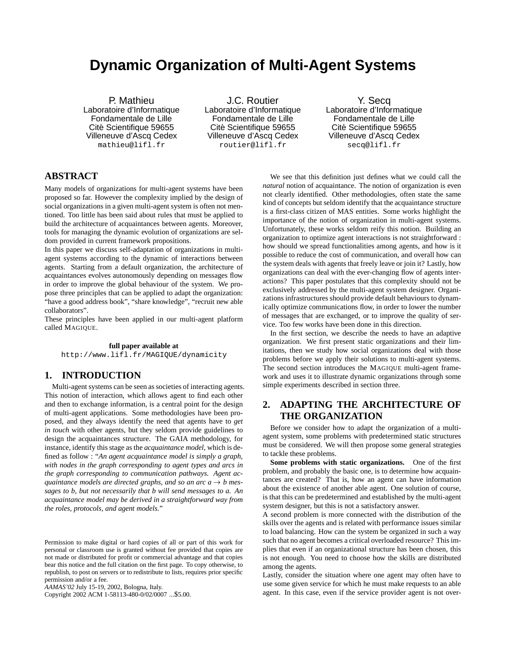# **Dynamic Organization of Multi-Agent Systems**

P. Mathieu Laboratoire d'Informatique Fondamentale de Lille Cité Scientifique 59655 Villeneuve d'Ascq Cedex mathieu@lifl.fr

J.C. Routier Laboratoire d'Informatique Fondamentale de Lille Cité Scientifique 59655 Villeneuve d'Ascq Cedex routier@lifl.fr

Y. Secq Laboratoire d'Informatique Fondamentale de Lille Cité Scientifique 59655 Villeneuve d'Ascq Cedex secq@lifl.fr

## **ABSTRACT**

Many models of organizations for multi-agent systems have been proposed so far. However the complexity implied by the design of social organizations in a given multi-agent system is often not mentioned. Too little has been said about rules that must be applied to build the architecture of acquaintances between agents. Moreover, tools for managing the dynamic evolution of organizations are seldom provided in current framework propositions.

In this paper we discuss self-adaptation of organizations in multiagent systems according to the dynamic of interactions between agents. Starting from a default organization, the architecture of acquaintances evolves autonomously depending on messages flow in order to improve the global behaviour of the system. We propose three principles that can be applied to adapt the organization: "have a good address book", "share knowledge", "recruit new able collaborators".

These principles have been applied in our multi-agent platform called MAGIQUE.

#### **full paper available at**

http://www.lifl.fr/MAGIQUE/dynamicity

## **1. INTRODUCTION**

Multi-agent systems can be seen as societies of interacting agents. This notion of interaction, which allows agent to find each other and then to exchange information, is a central point for the design of multi-agent applications. Some methodologies have been proposed, and they always identify the need that agents have to *get in touch* with other agents, but they seldom provide guidelines to design the acquaintances structure. The GAIA methodology, for instance, identify this stage as the *acquaintance model*, which is defined as follow : "*An agent acquaintance model is simply a graph, with nodes in the graph corresponding to agent types and arcs in the graph corresponding to communication pathways. Agent acquaintance models are directed graphs, and so an arc*  $a \rightarrow b$  *messages to b, but not necessarily that b will send messages to a. An acquaintance model may be derived in a straightforward way from the roles, protocols, and agent models.*"

Copyright 2002 ACM 1-58113-480-0/02/0007 ...\$5.00.

We see that this definition just defines what we could call the *natural* notion of acquaintance. The notion of organization is even not clearly identified. Other methodologies, often state the same kind of concepts but seldom identify that the acquaintance structure is a first-class citizen of MAS entities. Some works highlight the importance of the notion of organization in multi-agent systems. Unfortunately, these works seldom reify this notion. Building an organization to optimize agent interactions is not straightforward : how should we spread functionalities among agents, and how is it possible to reduce the cost of communication, and overall how can the system deals with agents that freely leave or join it? Lastly, how organizations can deal with the ever-changing flow of agents interactions? This paper postulates that this complexity should not be exclusively addressed by the multi-agent system designer. Organizations infrastructures should provide default behaviours to dynamically optimize communications flow, in order to lower the number of messages that are exchanged, or to improve the quality of service. Too few works have been done in this direction.

In the first section, we describe the needs to have an adaptive organization. We first present static organizations and their limitations, then we study how social organizations deal with those problems before we apply their solutions to multi-agent systems. The second section introduces the MAGIQUE multi-agent framework and uses it to illustrate dynamic organizations through some simple experiments described in section three.

## **2. ADAPTING THE ARCHITECTURE OF THE ORGANIZATION**

Before we consider how to adapt the organization of a multiagent system, some problems with predetermined static structures must be considered. We will then propose some general strategies to tackle these problems.

**Some problems with static organizations.** One of the first problem, and probably the basic one, is to determine how acquaintances are created? That is, how an agent can have information about the existence of another able agent. One solution of course, is that this can be predetermined and established by the multi-agent system designer, but this is not a satisfactory answer.

A second problem is more connected with the distribution of the skills over the agents and is related with performance issues similar to load balancing. How can the system be organized in such a way such that no agent becomes a critical overloaded resource? This implies that even if an organizational structure has been chosen, this is not enough. You need to choose how the skills are distributed among the agents.

Lastly, consider the situation where one agent may often have to use some given service for which he must make requests to an able agent. In this case, even if the service provider agent is not over-

Permission to make digital or hard copies of all or part of this work for personal or classroom use is granted without fee provided that copies are not made or distributed for profit or commercial advantage and that copies bear this notice and the full citation on the first page. To copy otherwise, to republish, to post on servers or to redistribute to lists, requires prior specific permission and/or a fee.

*AAMAS'02* July 15-19, 2002, Bologna, Italy.